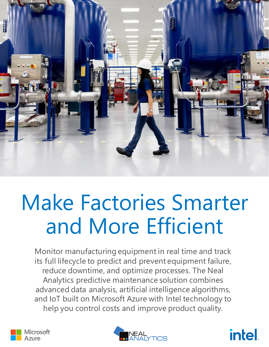

# Make Factories Smarter and More Efficient

Monitor manufacturing equipment in real time and track its full lifecycle to predict and prevent equipment failure, reduce downtime, and optimize processes. The Neal Analytics predictive maintenance solution combines advanced data analysis, artificial intelligence algorithms, and IoT built on Microsoft Azure with Intel technology to help you control costs and improve product quality.